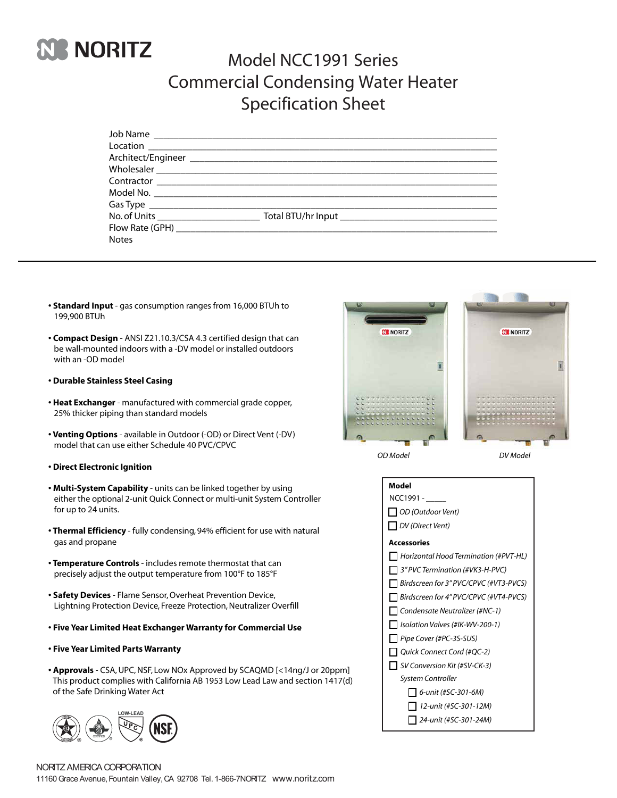

## Model NCC1991 Series Commercial Condensing Water Heater Specification Sheet

| <b>Notes</b> |  |
|--------------|--|
|              |  |

- **Standard Input** gas consumption ranges from 16,000 BTUh to 199,900 BTUh
- **Compact Design** ANSI Z21.10.3/CSA 4.3 certified design that can be wall-mounted indoors with a -DV model or installed outdoors with an -OD model
- **Durable Stainless Steel Casing**
- **Heat Exchanger** manufactured with commercial grade copper, 25% thicker piping than standard models
- **Venting Options** available in Outdoor (-OD) or Direct Vent (-DV) model that can use either Schedule 40 PVC/CPVC
- **Direct Electronic Ignition**
- **Multi-System Capability** units can be linked together by using either the optional 2-unit Quick Connect or multi-unit System Controller for up to 24 units.
- **Thermal Efficiency**  fully condensing, 94% efficient for use with natural gas and propane
- **Temperature Controls** includes remote thermostat that can precisely adjust the output temperature from 100°F to 185°F
- **Safety Devices** Flame Sensor,Overheat Prevention Device, Lightning Protection Device, Freeze Protection, Neutralizer Overfill
- **Five Year Limited Heat Exchanger Warranty for Commercial Use**
- **Five Year Limited Parts Warranty**
- **Approvals** CSA, UPC, NSF, Low NOx Approved by SCAQMD [<14ng/J or 20ppm] This product complies with California AB 1953 Low Lead Law and section 1417(d) of the Safe Drinking Water Act





*OD Model DV Model*

| Model                                    |  |  |  |  |  |  |
|------------------------------------------|--|--|--|--|--|--|
| NCC1991 -                                |  |  |  |  |  |  |
| OD (Outdoor Vent)                        |  |  |  |  |  |  |
| DV (Direct Vent)                         |  |  |  |  |  |  |
| Accessories                              |  |  |  |  |  |  |
| Horizontal Hood Termination (#PVT-HL)    |  |  |  |  |  |  |
| $\Box$ 3" PVC Termination (#VK3-H-PVC)   |  |  |  |  |  |  |
| □ Birdscreen for 3" PVC/CPVC (#VT3-PVCS) |  |  |  |  |  |  |
| Birdscreen for 4" PVC/CPVC (#VT4-PVCS)   |  |  |  |  |  |  |
| Condensate Neutralizer (#NC-1)           |  |  |  |  |  |  |
| Isolation Valves (#IK-WV-200-1)          |  |  |  |  |  |  |
| Pipe Cover (#PC-3S-SUS)                  |  |  |  |  |  |  |
| Ouick Connect Cord (#OC-2)               |  |  |  |  |  |  |
| SV Conversion Kit (#SV-CK-3)             |  |  |  |  |  |  |
| System Controller                        |  |  |  |  |  |  |
| 6-unit (#SC-301-6M)                      |  |  |  |  |  |  |
| 12-unit (#SC-301-12M)                    |  |  |  |  |  |  |
| 24-unit (#SC-301-24M)                    |  |  |  |  |  |  |